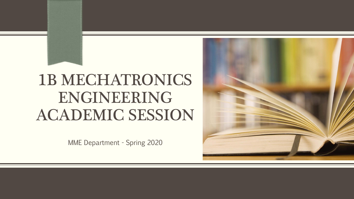# 1B MECHATRONICS ENGINEERING ACADEMIC SESSION

MME Department - Spring 2020

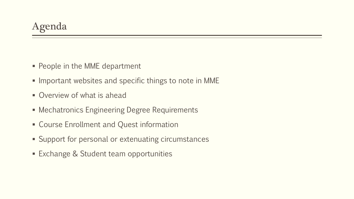- **People in the MME department**
- $\blacksquare$  Important websites and specific things to note in MME
- Overview of what is ahead
- **Mechatronics Engineering Degree Requirements**
- **EXEC** Course Enrollment and Quest information
- **Support for personal or extenuating circumstances**
- **Exchange & Student team opportunities**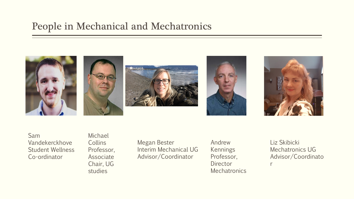### People in Mechanical and Mechatronics



Sam Vandekerckhove Student Wellness Co-ordinator

Michael **Collins** Professor, Associate Chair, UG studies

Megan Bester Interim Mechanical UG Advisor/Coordinator

Andrew Kennings Professor, **Director Mechatronics**  Liz Skibicki Mechatronics UG Advisor/Coordinato

r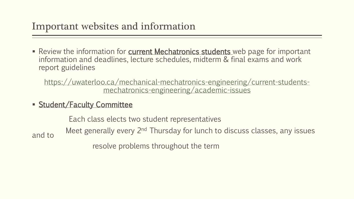# Important websites and information

Review the information for current Mechatronics students web page for important information and deadlines, lecture schedules, midterm & final exams and work report guidelines

[https://uwaterloo.ca/mechanical-mechatronics-engineering/current-students](https://uwaterloo.ca/mechanical-mechatronics-engineering/current-students-mechatronics-engineering/academic-issues)mechatronics-engineering/academic-issues

**Student/Faculty Committee** 

Each class elects two student representatives Meet generally every 2<sup>nd</sup> Thursday for lunch to discuss classes, any issues and to

resolve problems throughout the term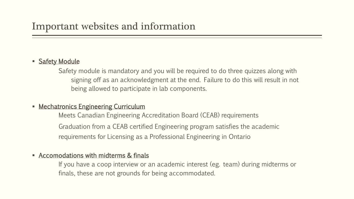### **Safety Module**

Safety module is mandatory and you will be required to do three quizzes along with signing off as an acknowledgment at the end. Failure to do this will result in not being allowed to participate in lab components.

#### **Mechatronics Engineering Curriculum**

Meets Canadian Engineering Accreditation Board (CEAB) requirements Graduation from a CEAB certified Engineering program satisfies the academic requirements for Licensing as a Professional Engineering in Ontario

#### • Accomodations with midterms & finals

If you have a coop interview or an academic interest (eg. team) during midterms or finals, these are not grounds for being accommodated.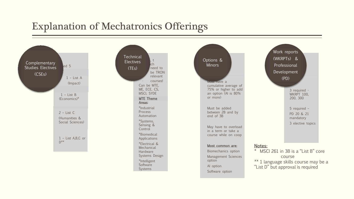## Explanation of Mechatronics Offerings

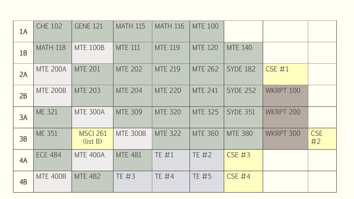| 1A | <b>CHE 102</b>  | <b>GENE 121</b>             | <b>MATH 115</b> | <b>MATH 116</b> | <b>MTE 100</b> |                 |               |                  |
|----|-----------------|-----------------------------|-----------------|-----------------|----------------|-----------------|---------------|------------------|
| 1B | <b>MATH 118</b> | <b>MTE 100B</b>             | <b>MTE 111</b>  | <b>MTE 119</b>  | <b>MTE 120</b> | <b>MTE 140</b>  |               |                  |
| 2A | <b>MTE 200A</b> | <b>MTE 201</b>              | <b>MTE 202</b>  | <b>MTE 219</b>  | <b>MTE 262</b> | <b>SYDE 182</b> | <b>CSE #1</b> |                  |
| 2B | <b>MTE 200B</b> | <b>MTE 203</b>              | <b>MTE 204</b>  | <b>MTE 220</b>  | <b>MTE 241</b> | <b>SYDE 252</b> | WKRPT 100     |                  |
| 3A | <b>ME 321</b>   | <b>MTE 300A</b>             | <b>MTE 309</b>  | <b>MTE 320</b>  | <b>MTE 325</b> | <b>SYDE 351</b> | WKRPT 200     |                  |
| 3B | <b>ME 351</b>   | <b>MSCI 261</b><br>(list B) | <b>MTE 300B</b> | <b>MTE 322</b>  | <b>MTE 360</b> | <b>MTE 380</b>  | WKRPT 300     | <b>CSE</b><br>#2 |
| 4A | <b>ECE 484</b>  | <b>MTE 400A</b>             | <b>MTE 481</b>  | TE #1           | TE #2          | <b>CSE #3</b>   |               |                  |
| 4B | <b>MTE 400B</b> | <b>MTE 482</b>              | TE #3           | <b>TE #4</b>    | TE #5          | <b>CSE #4</b>   |               |                  |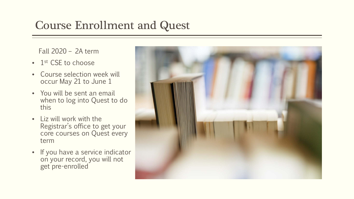# Course Enrollment and Quest

Fall 2020 – 2A term

- 1<sup>st</sup> CSE to choose
- Course selection week will occur May 21 to June 1
- You will be sent an email when to log into Quest to do this
- Liz will work with the Registrar's office to get your core courses on Quest every term
- If you have a service indicator on your record, you will not get pre-enrolled

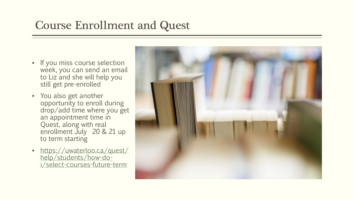# Course Enrollment and Quest

- If you miss course selection week, you can send an email to Liz and she will help you still get pre-enrolled
- You also get another opportunity to enroll during drop/add time where you get an appointment time in Quest, along with real enrollment July 20 & 21 up to term starting
- [https://uwaterloo.ca/quest/](https://uwaterloo.ca/quest/help/students/how-do-i/select-courses-future-term) help/students/how-doi/select-courses-future-term

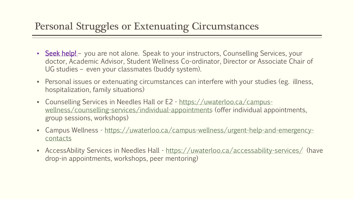## Personal Struggles or Extenuating Circumstances

- Seek help! you are not alone. Speak to your instructors, Counselling Services, your doctor, Academic Advisor, Student Wellness Co-ordinator, Director or Associate Chair of UG studies – even your classmates (buddy system).
- Personal issues or extenuating circumstances can interfere with your studies (eg. illness, hospitalization, family situations)
- Counselling Services in Needles Hall or E2 https://uwaterloo.ca/campus[wellness/counselling-services/individual-appointments](https://uwaterloo.ca/campus-wellness/counselling-services/individual-appointments) (offer individual appointments, group sessions, workshops)
- Campus Wellness [https://uwaterloo.ca/campus-wellness/urgent-help-and-emergency](https://uwaterloo.ca/campus-wellness/urgent-help-and-emergency-contacts)contacts
- AccessAbility Services in Needles Hall <https://uwaterloo.ca/accessability-services/> (have drop-in appointments, workshops, peer mentoring)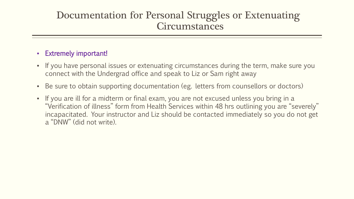### Documentation for Personal Struggles or Extenuating **Circumstances**

### • Extremely important!

- If you have personal issues or extenuating circumstances during the term, make sure you connect with the Undergrad office and speak to Liz or Sam right away
- Be sure to obtain supporting documentation (eg. letters from counsellors or doctors)
- If you are ill for a midterm or final exam, you are not excused unless you bring in a "Verification of illness" form from Health Services within 48 hrs outlining you are "severely" incapacitated. Your instructor and Liz should be contacted immediately so you do not get a "DNW" (did not write).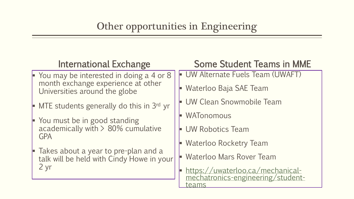| International Exchange                                                                                  | <b>Some Student Teams in MME</b>                                      |  |  |
|---------------------------------------------------------------------------------------------------------|-----------------------------------------------------------------------|--|--|
| $\blacktriangleright$ You may be interested in doing a 4 or 8                                           | UW Alternate Fuels Team (UWAFT)                                       |  |  |
| month exchange experience at other<br>Universities around the globe                                     | Waterloo Baja SAE Team                                                |  |  |
| $\blacktriangleright$ MTE students generally do this in 3rd yr                                          | <b>UW Clean Snowmobile Team</b>                                       |  |  |
| You must be in good standing<br>Þ.                                                                      | WATonomous                                                            |  |  |
| academically with $> 80\%$ cumulative<br><b>GPA</b>                                                     | <b>UW Robotics Team</b>                                               |  |  |
|                                                                                                         | <b>Waterloo Rocketry Team</b>                                         |  |  |
| $\blacktriangleright$ Takes about a year to pre-plan and a<br>talk will be held with Cindy Howe in your | <b>Waterloo Mars Rover Team</b>                                       |  |  |
| 2 yr                                                                                                    | https://uwaterloo.ca/mechanical-<br>mechatronics-engineering/student- |  |  |
|                                                                                                         | eams:                                                                 |  |  |